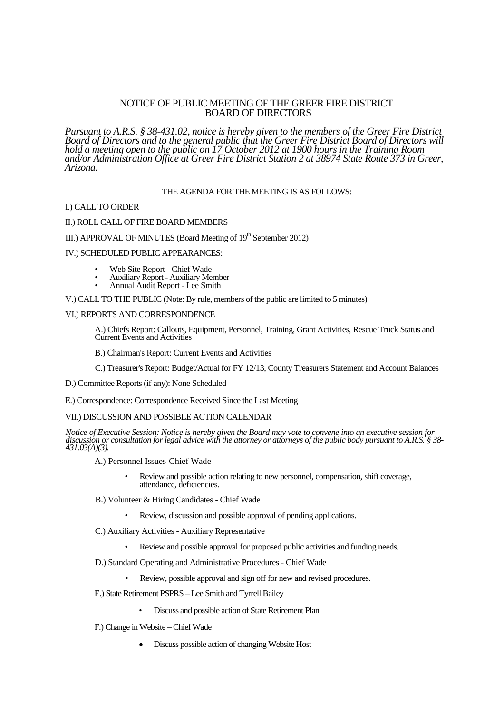## NOTICE OF PUBLIC MEETING OF THE GREER FIRE DISTRICT BOARD OF DIRECTORS

*Pursuant to A.R.S. § 38-431.02, notice is hereby given to the members of the Greer Fire District Board of Directors and to the general public that the Greer Fire District Board of Directors will hold a meeting open to the public on 17 October 2012 at 1900 hours in the Training Room and/or Administration Office at Greer Fire District Station 2 at 38974 State Route 373 in Greer, Arizona.*

## THE AGENDA FOR THE MEETING IS AS FOLLOWS:

#### I.) CALL TO ORDER

#### II.) ROLL CALL OF FIRE BOARD MEMBERS

# III.) APPROVAL OF MINUTES (Board Meeting of 19<sup>th</sup> September 2012)

#### IV.) SCHEDULED PUBLIC APPEARANCES:

- Web Site Report Chief Wade
- Auxiliary Report Auxiliary Member
- Annual Audit Report Lee Smith

#### V.) CALL TO THE PUBLIC (Note: By rule, members of the public are limited to 5 minutes)

### VI.) REPORTS AND CORRESPONDENCE

A.) Chiefs Report: Callouts, Equipment, Personnel, Training, Grant Activities, Rescue Truck Status and Current Events and Activities

B.) Chairman's Report: Current Events and Activities

C.) Treasurer's Report: Budget/Actual for FY 12/13, County Treasurers Statement and Account Balances

D.) Committee Reports (if any): None Scheduled

E.) Correspondence: Correspondence Received Since the Last Meeting

### VII.) DISCUSSION AND POSSIBLE ACTION CALENDAR

*Notice of Executive Session: Notice is hereby given the Board may vote to convene into an executive session for discussion or consultation for legal advice with the attorney or attorneys of the public body pursuant to A.R.S. § 38- 431.03(A)(3).*

- A.) Personnel Issues-Chief Wade
	- Review and possible action relating to new personnel, compensation, shift coverage, attendance, deficiencies.
- B.) Volunteer & Hiring Candidates Chief Wade
	- Review, discussion and possible approval of pending applications.
- C.) Auxiliary Activities Auxiliary Representative
	- Review and possible approval for proposed public activities and funding needs.
- D.) Standard Operating and Administrative Procedures Chief Wade
	- Review, possible approval and sign off for new and revised procedures.
- E.) State Retirement PSPRS Lee Smith and Tyrrell Bailey
	- Discuss and possible action of State Retirement Plan
- F.) Change in Website Chief Wade
	- Discuss possible action of changing Website Host